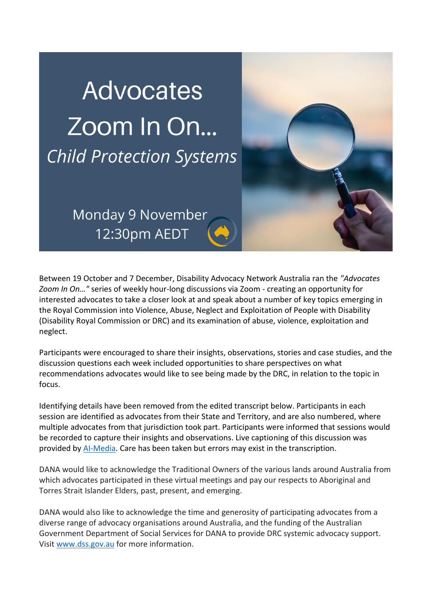# **Advocates** Zoom In On... **Child Protection Systems**

Monday 9 November 12:30pm AEDT

Between 19 October and 7 December, Disability Advocacy Network Australia ran the *"Advocates Zoom In On…"* series of weekly hour-long discussions via Zoom - creating an opportunity for interested advocates to take a closer look at and speak about a number of key topics emerging in the Royal Commission into Violence, Abuse, Neglect and Exploitation of People with Disability (Disability Royal Commission or DRC) and its examination of abuse, violence, exploitation and neglect.

Participants were encouraged to share their insights, observations, stories and case studies, and the discussion questions each week included opportunities to share perspectives on what recommendations advocates would like to see being made by the DRC, in relation to the topic in focus.

Identifying details have been removed from the edited transcript below. Participants in each session are identified as advocates from their State and Territory, and are also numbered, where multiple advocates from that jurisdiction took part. Participants were informed that sessions would be recorded to capture their insights and observations. Live captioning of this discussion was provided b[y AI-Media.](https://www.ai-media.tv/) Care has been taken but errors may exist in the transcription.

DANA would like to acknowledge the Traditional Owners of the various lands around Australia from which advocates participated in these virtual meetings and pay our respects to Aboriginal and Torres Strait Islander Elders, past, present, and emerging.

DANA would also like to acknowledge the time and generosity of participating advocates from a diverse range of advocacy organisations around Australia, and the funding of the Australian Government Department of Social Services for DANA to provide DRC systemic advocacy support. Visi[t www.dss.gov.au](https://www.dss.gov.au/disability-and-carers/disability-counselling-and-advocacy-support) for more information.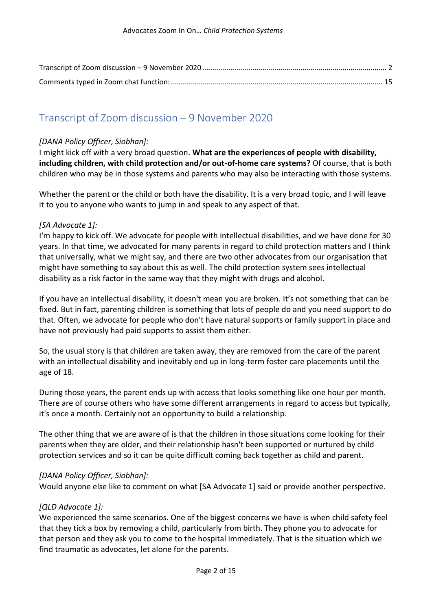# <span id="page-1-0"></span>Transcript of Zoom discussion – 9 November 2020

#### *[DANA Policy Officer, Siobhan]:*

I might kick off with a very broad question. **What are the experiences of people with disability, including children, with child protection and/or out-of-home care systems?** Of course, that is both children who may be in those systems and parents who may also be interacting with those systems.

Whether the parent or the child or both have the disability. It is a very broad topic, and I will leave it to you to anyone who wants to jump in and speak to any aspect of that.

## *[SA Advocate 1]:*

I'm happy to kick off. We advocate for people with intellectual disabilities, and we have done for 30 years. In that time, we advocated for many parents in regard to child protection matters and I think that universally, what we might say, and there are two other advocates from our organisation that might have something to say about this as well. The child protection system sees intellectual disability as a risk factor in the same way that they might with drugs and alcohol.

If you have an intellectual disability, it doesn't mean you are broken. It's not something that can be fixed. But in fact, parenting children is something that lots of people do and you need support to do that. Often, we advocate for people who don't have natural supports or family support in place and have not previously had paid supports to assist them either.

So, the usual story is that children are taken away, they are removed from the care of the parent with an intellectual disability and inevitably end up in long-term foster care placements until the age of 18.

During those years, the parent ends up with access that looks something like one hour per month. There are of course others who have some different arrangements in regard to access but typically, it's once a month. Certainly not an opportunity to build a relationship.

The other thing that we are aware of is that the children in those situations come looking for their parents when they are older, and their relationship hasn't been supported or nurtured by child protection services and so it can be quite difficult coming back together as child and parent.

#### *[DANA Policy Officer, Siobhan]:*

Would anyone else like to comment on what [SA Advocate 1] said or provide another perspective.

#### *[QLD Advocate 1]:*

We experienced the same scenarios. One of the biggest concerns we have is when child safety feel that they tick a box by removing a child, particularly from birth. They phone you to advocate for that person and they ask you to come to the hospital immediately. That is the situation which we find traumatic as advocates, let alone for the parents.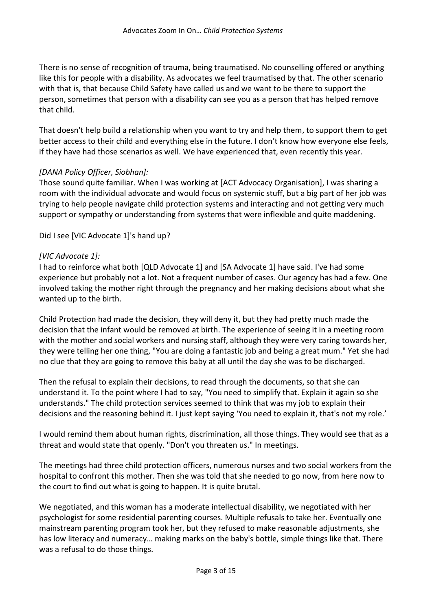There is no sense of recognition of trauma, being traumatised. No counselling offered or anything like this for people with a disability. As advocates we feel traumatised by that. The other scenario with that is, that because Child Safety have called us and we want to be there to support the person, sometimes that person with a disability can see you as a person that has helped remove that child.

That doesn't help build a relationship when you want to try and help them, to support them to get better access to their child and everything else in the future. I don't know how everyone else feels, if they have had those scenarios as well. We have experienced that, even recently this year.

#### *[DANA Policy Officer, Siobhan]:*

Those sound quite familiar. When I was working at [ACT Advocacy Organisation], I was sharing a room with the individual advocate and would focus on systemic stuff, but a big part of her job was trying to help people navigate child protection systems and interacting and not getting very much support or sympathy or understanding from systems that were inflexible and quite maddening.

Did I see [VIC Advocate 1]'s hand up?

#### *[VIC Advocate 1]:*

I had to reinforce what both [QLD Advocate 1] and [SA Advocate 1] have said. I've had some experience but probably not a lot. Not a frequent number of cases. Our agency has had a few. One involved taking the mother right through the pregnancy and her making decisions about what she wanted up to the birth.

Child Protection had made the decision, they will deny it, but they had pretty much made the decision that the infant would be removed at birth. The experience of seeing it in a meeting room with the mother and social workers and nursing staff, although they were very caring towards her, they were telling her one thing, "You are doing a fantastic job and being a great mum." Yet she had no clue that they are going to remove this baby at all until the day she was to be discharged.

Then the refusal to explain their decisions, to read through the documents, so that she can understand it. To the point where I had to say, "You need to simplify that. Explain it again so she understands." The child protection services seemed to think that was my job to explain their decisions and the reasoning behind it. I just kept saying 'You need to explain it, that's not my role.'

I would remind them about human rights, discrimination, all those things. They would see that as a threat and would state that openly. "Don't you threaten us." In meetings.

The meetings had three child protection officers, numerous nurses and two social workers from the hospital to confront this mother. Then she was told that she needed to go now, from here now to the court to find out what is going to happen. It is quite brutal.

We negotiated, and this woman has a moderate intellectual disability, we negotiated with her psychologist for some residential parenting courses. Multiple refusals to take her. Eventually one mainstream parenting program took her, but they refused to make reasonable adjustments, she has low literacy and numeracy… making marks on the baby's bottle, simple things like that. There was a refusal to do those things.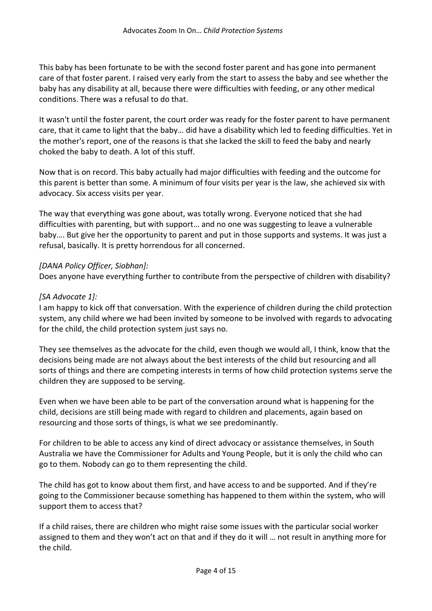This baby has been fortunate to be with the second foster parent and has gone into permanent care of that foster parent. I raised very early from the start to assess the baby and see whether the baby has any disability at all, because there were difficulties with feeding, or any other medical conditions. There was a refusal to do that.

It wasn't until the foster parent, the court order was ready for the foster parent to have permanent care, that it came to light that the baby… did have a disability which led to feeding difficulties. Yet in the mother's report, one of the reasons is that she lacked the skill to feed the baby and nearly choked the baby to death. A lot of this stuff.

Now that is on record. This baby actually had major difficulties with feeding and the outcome for this parent is better than some. A minimum of four visits per year is the law, she achieved six with advocacy. Six access visits per year.

The way that everything was gone about, was totally wrong. Everyone noticed that she had difficulties with parenting, but with support… and no one was suggesting to leave a vulnerable baby…. But give her the opportunity to parent and put in those supports and systems. It was just a refusal, basically. It is pretty horrendous for all concerned.

#### *[DANA Policy Officer, Siobhan]:*

Does anyone have everything further to contribute from the perspective of children with disability?

#### *[SA Advocate 1]:*

I am happy to kick off that conversation. With the experience of children during the child protection system, any child where we had been invited by someone to be involved with regards to advocating for the child, the child protection system just says no.

They see themselves as the advocate for the child, even though we would all, I think, know that the decisions being made are not always about the best interests of the child but resourcing and all sorts of things and there are competing interests in terms of how child protection systems serve the children they are supposed to be serving.

Even when we have been able to be part of the conversation around what is happening for the child, decisions are still being made with regard to children and placements, again based on resourcing and those sorts of things, is what we see predominantly.

For children to be able to access any kind of direct advocacy or assistance themselves, in South Australia we have the Commissioner for Adults and Young People, but it is only the child who can go to them. Nobody can go to them representing the child.

The child has got to know about them first, and have access to and be supported. And if they're going to the Commissioner because something has happened to them within the system, who will support them to access that?

If a child raises, there are children who might raise some issues with the particular social worker assigned to them and they won't act on that and if they do it will … not result in anything more for the child.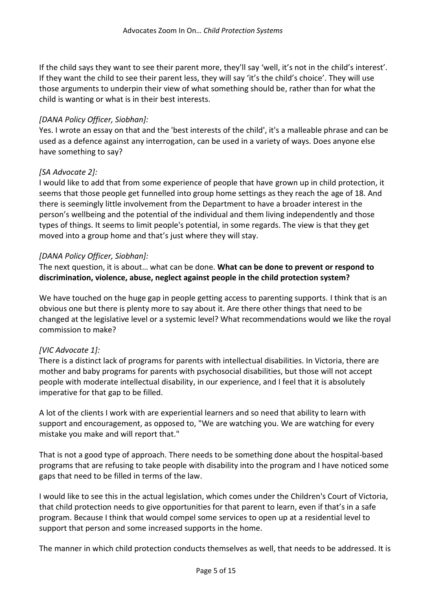If the child says they want to see their parent more, they'll say 'well, it's not in the child's interest'. If they want the child to see their parent less, they will say 'it's the child's choice'. They will use those arguments to underpin their view of what something should be, rather than for what the child is wanting or what is in their best interests.

#### *[DANA Policy Officer, Siobhan]:*

Yes. I wrote an essay on that and the 'best interests of the child', it's a malleable phrase and can be used as a defence against any interrogation, can be used in a variety of ways. Does anyone else have something to say?

#### *[SA Advocate 2]:*

I would like to add that from some experience of people that have grown up in child protection, it seems that those people get funnelled into group home settings as they reach the age of 18. And there is seemingly little involvement from the Department to have a broader interest in the person's wellbeing and the potential of the individual and them living independently and those types of things. It seems to limit people's potential, in some regards. The view is that they get moved into a group home and that's just where they will stay.

#### *[DANA Policy Officer, Siobhan]:*

The next question, it is about… what can be done. **What can be done to prevent or respond to discrimination, violence, abuse, neglect against people in the child protection system?**

We have touched on the huge gap in people getting access to parenting supports. I think that is an obvious one but there is plenty more to say about it. Are there other things that need to be changed at the legislative level or a systemic level? What recommendations would we like the royal commission to make?

#### *[VIC Advocate 1]:*

There is a distinct lack of programs for parents with intellectual disabilities. In Victoria, there are mother and baby programs for parents with psychosocial disabilities, but those will not accept people with moderate intellectual disability, in our experience, and I feel that it is absolutely imperative for that gap to be filled.

A lot of the clients I work with are experiential learners and so need that ability to learn with support and encouragement, as opposed to, "We are watching you. We are watching for every mistake you make and will report that."

That is not a good type of approach. There needs to be something done about the hospital-based programs that are refusing to take people with disability into the program and I have noticed some gaps that need to be filled in terms of the law.

I would like to see this in the actual legislation, which comes under the Children's Court of Victoria, that child protection needs to give opportunities for that parent to learn, even if that's in a safe program. Because I think that would compel some services to open up at a residential level to support that person and some increased supports in the home.

The manner in which child protection conducts themselves as well, that needs to be addressed. It is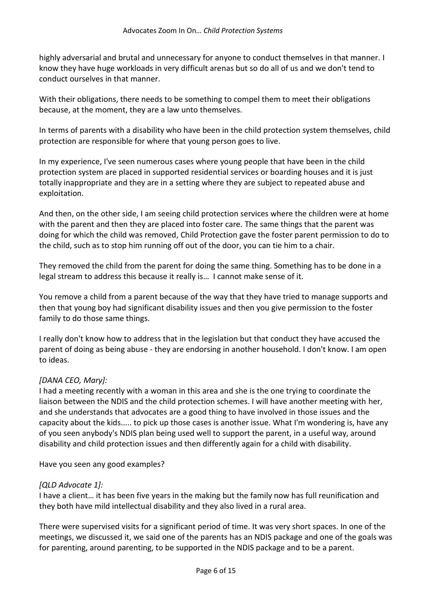highly adversarial and brutal and unnecessary for anyone to conduct themselves in that manner. I know they have huge workloads in very difficult arenas but so do all of us and we don't tend to conduct ourselves in that manner.

With their obligations, there needs to be something to compel them to meet their obligations because, at the moment, they are a law unto themselves.

In terms of parents with a disability who have been in the child protection system themselves, child protection are responsible for where that young person goes to live.

In my experience, I've seen numerous cases where young people that have been in the child protection system are placed in supported residential services or boarding houses and it is just totally inappropriate and they are in a setting where they are subject to repeated abuse and exploitation.

And then, on the other side, I am seeing child protection services where the children were at home with the parent and then they are placed into foster care. The same things that the parent was doing for which the child was removed, Child Protection gave the foster parent permission to do to the child, such as to stop him running off out of the door, you can tie him to a chair.

They removed the child from the parent for doing the same thing. Something has to be done in a legal stream to address this because it really is… I cannot make sense of it.

You remove a child from a parent because of the way that they have tried to manage supports and then that young boy had significant disability issues and then you give permission to the foster family to do those same things.

I really don't know how to address that in the legislation but that conduct they have accused the parent of doing as being abuse - they are endorsing in another household. I don't know. I am open to ideas.

# *[DANA CEO, Mary]:*

I had a meeting recently with a woman in this area and she is the one trying to coordinate the liaison between the NDIS and the child protection schemes. I will have another meeting with her, and she understands that advocates are a good thing to have involved in those issues and the capacity about the kids..... to pick up those cases is another issue. What I'm wondering is, have any of you seen anybody's NDIS plan being used well to support the parent, in a useful way, around disability and child protection issues and then differently again for a child with disability.

Have you seen any good examples?

#### *[QLD Advocate 1]:*

I have a client… it has been five years in the making but the family now has full reunification and they both have mild intellectual disability and they also lived in a rural area.

There were supervised visits for a significant period of time. It was very short spaces. In one of the meetings, we discussed it, we said one of the parents has an NDIS package and one of the goals was for parenting, around parenting, to be supported in the NDIS package and to be a parent.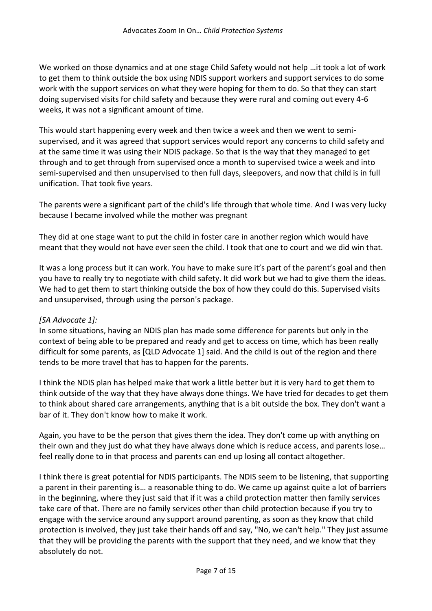We worked on those dynamics and at one stage Child Safety would not help …it took a lot of work to get them to think outside the box using NDIS support workers and support services to do some work with the support services on what they were hoping for them to do. So that they can start doing supervised visits for child safety and because they were rural and coming out every 4-6 weeks, it was not a significant amount of time.

This would start happening every week and then twice a week and then we went to semisupervised, and it was agreed that support services would report any concerns to child safety and at the same time it was using their NDIS package. So that is the way that they managed to get through and to get through from supervised once a month to supervised twice a week and into semi-supervised and then unsupervised to then full days, sleepovers, and now that child is in full unification. That took five years.

The parents were a significant part of the child's life through that whole time. And I was very lucky because I became involved while the mother was pregnant

They did at one stage want to put the child in foster care in another region which would have meant that they would not have ever seen the child. I took that one to court and we did win that.

It was a long process but it can work. You have to make sure it's part of the parent's goal and then you have to really try to negotiate with child safety. It did work but we had to give them the ideas. We had to get them to start thinking outside the box of how they could do this. Supervised visits and unsupervised, through using the person's package.

#### *[SA Advocate 1]:*

In some situations, having an NDIS plan has made some difference for parents but only in the context of being able to be prepared and ready and get to access on time, which has been really difficult for some parents, as [QLD Advocate 1] said. And the child is out of the region and there tends to be more travel that has to happen for the parents.

I think the NDIS plan has helped make that work a little better but it is very hard to get them to think outside of the way that they have always done things. We have tried for decades to get them to think about shared care arrangements, anything that is a bit outside the box. They don't want a bar of it. They don't know how to make it work.

Again, you have to be the person that gives them the idea. They don't come up with anything on their own and they just do what they have always done which is reduce access, and parents lose… feel really done to in that process and parents can end up losing all contact altogether.

I think there is great potential for NDIS participants. The NDIS seem to be listening, that supporting a parent in their parenting is… a reasonable thing to do. We came up against quite a lot of barriers in the beginning, where they just said that if it was a child protection matter then family services take care of that. There are no family services other than child protection because if you try to engage with the service around any support around parenting, as soon as they know that child protection is involved, they just take their hands off and say, "No, we can't help." They just assume that they will be providing the parents with the support that they need, and we know that they absolutely do not.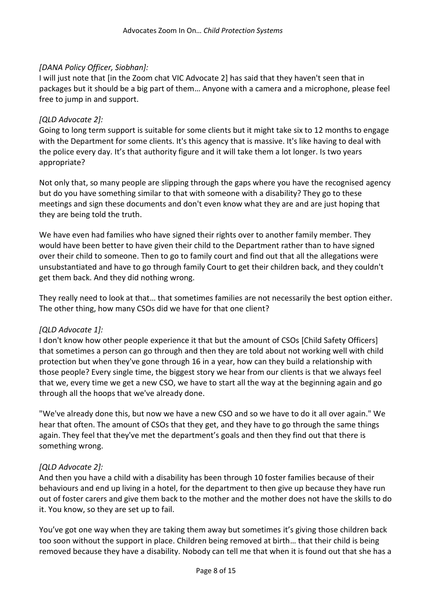#### *[DANA Policy Officer, Siobhan]:*

I will just note that [in the Zoom chat VIC Advocate 2] has said that they haven't seen that in packages but it should be a big part of them… Anyone with a camera and a microphone, please feel free to jump in and support.

#### *[QLD Advocate 2]:*

Going to long term support is suitable for some clients but it might take six to 12 months to engage with the Department for some clients. It's this agency that is massive. It's like having to deal with the police every day. It's that authority figure and it will take them a lot longer. Is two years appropriate?

Not only that, so many people are slipping through the gaps where you have the recognised agency but do you have something similar to that with someone with a disability? They go to these meetings and sign these documents and don't even know what they are and are just hoping that they are being told the truth.

We have even had families who have signed their rights over to another family member. They would have been better to have given their child to the Department rather than to have signed over their child to someone. Then to go to family court and find out that all the allegations were unsubstantiated and have to go through family Court to get their children back, and they couldn't get them back. And they did nothing wrong.

They really need to look at that… that sometimes families are not necessarily the best option either. The other thing, how many CSOs did we have for that one client?

#### *[QLD Advocate 1]:*

I don't know how other people experience it that but the amount of CSOs [Child Safety Officers] that sometimes a person can go through and then they are told about not working well with child protection but when they've gone through 16 in a year, how can they build a relationship with those people? Every single time, the biggest story we hear from our clients is that we always feel that we, every time we get a new CSO, we have to start all the way at the beginning again and go through all the hoops that we've already done.

"We've already done this, but now we have a new CSO and so we have to do it all over again." We hear that often. The amount of CSOs that they get, and they have to go through the same things again. They feel that they've met the department's goals and then they find out that there is something wrong.

#### *[QLD Advocate 2]:*

And then you have a child with a disability has been through 10 foster families because of their behaviours and end up living in a hotel, for the department to then give up because they have run out of foster carers and give them back to the mother and the mother does not have the skills to do it. You know, so they are set up to fail.

You've got one way when they are taking them away but sometimes it's giving those children back too soon without the support in place. Children being removed at birth… that their child is being removed because they have a disability. Nobody can tell me that when it is found out that she has a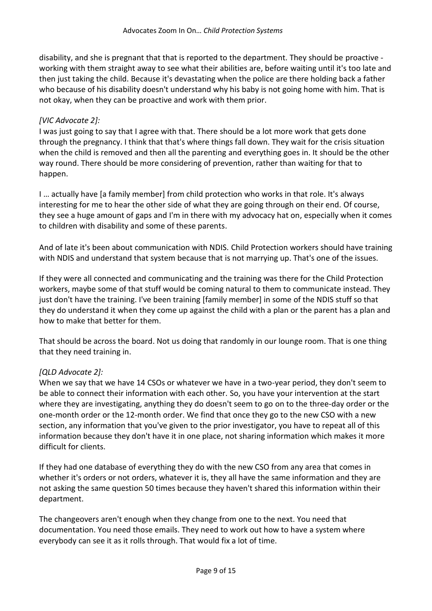disability, and she is pregnant that that is reported to the department. They should be proactive working with them straight away to see what their abilities are, before waiting until it's too late and then just taking the child. Because it's devastating when the police are there holding back a father who because of his disability doesn't understand why his baby is not going home with him. That is not okay, when they can be proactive and work with them prior.

#### *[VIC Advocate 2]:*

I was just going to say that I agree with that. There should be a lot more work that gets done through the pregnancy. I think that that's where things fall down. They wait for the crisis situation when the child is removed and then all the parenting and everything goes in. It should be the other way round. There should be more considering of prevention, rather than waiting for that to happen.

I … actually have [a family member] from child protection who works in that role. It's always interesting for me to hear the other side of what they are going through on their end. Of course, they see a huge amount of gaps and I'm in there with my advocacy hat on, especially when it comes to children with disability and some of these parents.

And of late it's been about communication with NDIS. Child Protection workers should have training with NDIS and understand that system because that is not marrying up. That's one of the issues.

If they were all connected and communicating and the training was there for the Child Protection workers, maybe some of that stuff would be coming natural to them to communicate instead. They just don't have the training. I've been training [family member] in some of the NDIS stuff so that they do understand it when they come up against the child with a plan or the parent has a plan and how to make that better for them.

That should be across the board. Not us doing that randomly in our lounge room. That is one thing that they need training in.

# *[QLD Advocate 2]:*

When we say that we have 14 CSOs or whatever we have in a two-year period, they don't seem to be able to connect their information with each other. So, you have your intervention at the start where they are investigating, anything they do doesn't seem to go on to the three-day order or the one-month order or the 12-month order. We find that once they go to the new CSO with a new section, any information that you've given to the prior investigator, you have to repeat all of this information because they don't have it in one place, not sharing information which makes it more difficult for clients.

If they had one database of everything they do with the new CSO from any area that comes in whether it's orders or not orders, whatever it is, they all have the same information and they are not asking the same question 50 times because they haven't shared this information within their department.

The changeovers aren't enough when they change from one to the next. You need that documentation. You need those emails. They need to work out how to have a system where everybody can see it as it rolls through. That would fix a lot of time.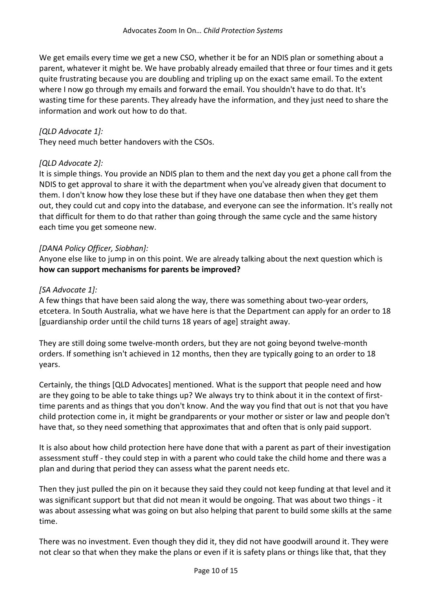We get emails every time we get a new CSO, whether it be for an NDIS plan or something about a parent, whatever it might be. We have probably already emailed that three or four times and it gets quite frustrating because you are doubling and tripling up on the exact same email. To the extent where I now go through my emails and forward the email. You shouldn't have to do that. It's wasting time for these parents. They already have the information, and they just need to share the information and work out how to do that.

#### *[QLD Advocate 1]:*

They need much better handovers with the CSOs.

#### *[QLD Advocate 2]:*

It is simple things. You provide an NDIS plan to them and the next day you get a phone call from the NDIS to get approval to share it with the department when you've already given that document to them. I don't know how they lose these but if they have one database then when they get them out, they could cut and copy into the database, and everyone can see the information. It's really not that difficult for them to do that rather than going through the same cycle and the same history each time you get someone new.

#### *[DANA Policy Officer, Siobhan]:*

Anyone else like to jump in on this point. We are already talking about the next question which is **how can support mechanisms for parents be improved?**

#### *[SA Advocate 1]:*

A few things that have been said along the way, there was something about two-year orders, etcetera. In South Australia, what we have here is that the Department can apply for an order to 18 [guardianship order until the child turns 18 years of age] straight away.

They are still doing some twelve-month orders, but they are not going beyond twelve-month orders. If something isn't achieved in 12 months, then they are typically going to an order to 18 years.

Certainly, the things [QLD Advocates] mentioned. What is the support that people need and how are they going to be able to take things up? We always try to think about it in the context of firsttime parents and as things that you don't know. And the way you find that out is not that you have child protection come in, it might be grandparents or your mother or sister or law and people don't have that, so they need something that approximates that and often that is only paid support.

It is also about how child protection here have done that with a parent as part of their investigation assessment stuff - they could step in with a parent who could take the child home and there was a plan and during that period they can assess what the parent needs etc.

Then they just pulled the pin on it because they said they could not keep funding at that level and it was significant support but that did not mean it would be ongoing. That was about two things - it was about assessing what was going on but also helping that parent to build some skills at the same time.

There was no investment. Even though they did it, they did not have goodwill around it. They were not clear so that when they make the plans or even if it is safety plans or things like that, that they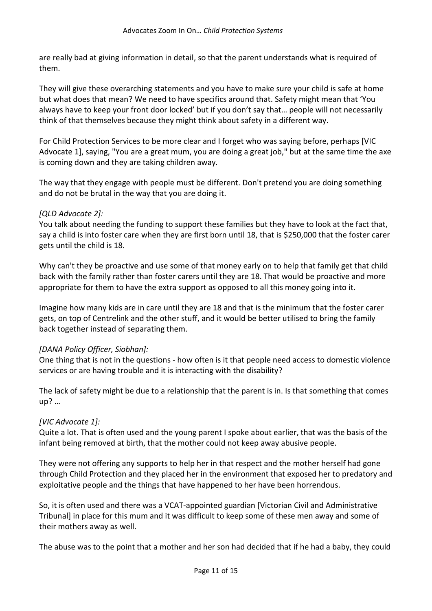are really bad at giving information in detail, so that the parent understands what is required of them.

They will give these overarching statements and you have to make sure your child is safe at home but what does that mean? We need to have specifics around that. Safety might mean that 'You always have to keep your front door locked' but if you don't say that… people will not necessarily think of that themselves because they might think about safety in a different way.

For Child Protection Services to be more clear and I forget who was saying before, perhaps [VIC Advocate 1], saying, "You are a great mum, you are doing a great job," but at the same time the axe is coming down and they are taking children away.

The way that they engage with people must be different. Don't pretend you are doing something and do not be brutal in the way that you are doing it.

#### *[QLD Advocate 2]:*

You talk about needing the funding to support these families but they have to look at the fact that, say a child is into foster care when they are first born until 18, that is \$250,000 that the foster carer gets until the child is 18.

Why can't they be proactive and use some of that money early on to help that family get that child back with the family rather than foster carers until they are 18. That would be proactive and more appropriate for them to have the extra support as opposed to all this money going into it.

Imagine how many kids are in care until they are 18 and that is the minimum that the foster carer gets, on top of Centrelink and the other stuff, and it would be better utilised to bring the family back together instead of separating them.

#### *[DANA Policy Officer, Siobhan]:*

One thing that is not in the questions - how often is it that people need access to domestic violence services or are having trouble and it is interacting with the disability?

The lack of safety might be due to a relationship that the parent is in. Is that something that comes up? …

#### *[VIC Advocate 1]:*

Quite a lot. That is often used and the young parent I spoke about earlier, that was the basis of the infant being removed at birth, that the mother could not keep away abusive people.

They were not offering any supports to help her in that respect and the mother herself had gone through Child Protection and they placed her in the environment that exposed her to predatory and exploitative people and the things that have happened to her have been horrendous.

So, it is often used and there was a VCAT-appointed guardian [Victorian Civil and Administrative Tribunal] in place for this mum and it was difficult to keep some of these men away and some of their mothers away as well.

The abuse was to the point that a mother and her son had decided that if he had a baby, they could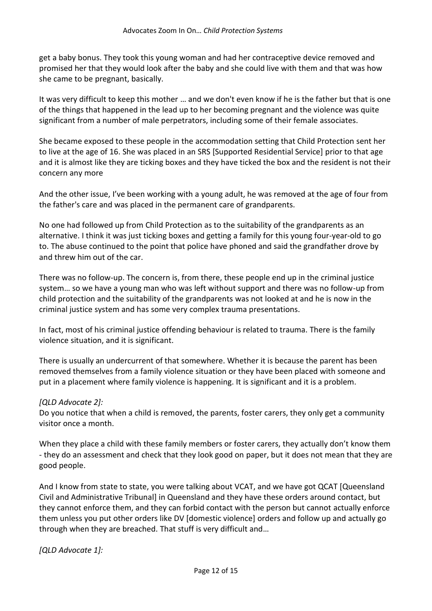get a baby bonus. They took this young woman and had her contraceptive device removed and promised her that they would look after the baby and she could live with them and that was how she came to be pregnant, basically.

It was very difficult to keep this mother … and we don't even know if he is the father but that is one of the things that happened in the lead up to her becoming pregnant and the violence was quite significant from a number of male perpetrators, including some of their female associates.

She became exposed to these people in the accommodation setting that Child Protection sent her to live at the age of 16. She was placed in an SRS [Supported Residential Service] prior to that age and it is almost like they are ticking boxes and they have ticked the box and the resident is not their concern any more

And the other issue, I've been working with a young adult, he was removed at the age of four from the father's care and was placed in the permanent care of grandparents.

No one had followed up from Child Protection as to the suitability of the grandparents as an alternative. I think it was just ticking boxes and getting a family for this young four-year-old to go to. The abuse continued to the point that police have phoned and said the grandfather drove by and threw him out of the car.

There was no follow-up. The concern is, from there, these people end up in the criminal justice system… so we have a young man who was left without support and there was no follow-up from child protection and the suitability of the grandparents was not looked at and he is now in the criminal justice system and has some very complex trauma presentations.

In fact, most of his criminal justice offending behaviour is related to trauma. There is the family violence situation, and it is significant.

There is usually an undercurrent of that somewhere. Whether it is because the parent has been removed themselves from a family violence situation or they have been placed with someone and put in a placement where family violence is happening. It is significant and it is a problem.

#### *[QLD Advocate 2]:*

Do you notice that when a child is removed, the parents, foster carers, they only get a community visitor once a month.

When they place a child with these family members or foster carers, they actually don't know them - they do an assessment and check that they look good on paper, but it does not mean that they are good people.

And I know from state to state, you were talking about VCAT, and we have got QCAT [Queensland Civil and Administrative Tribunal] in Queensland and they have these orders around contact, but they cannot enforce them, and they can forbid contact with the person but cannot actually enforce them unless you put other orders like DV [domestic violence] orders and follow up and actually go through when they are breached. That stuff is very difficult and…

*[QLD Advocate 1]:*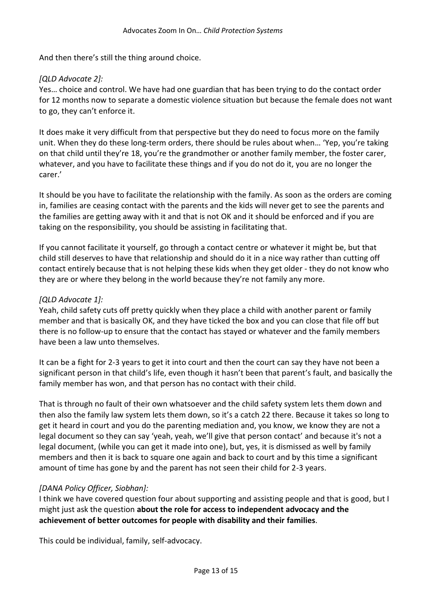And then there's still the thing around choice.

#### *[QLD Advocate 2]:*

Yes… choice and control. We have had one guardian that has been trying to do the contact order for 12 months now to separate a domestic violence situation but because the female does not want to go, they can't enforce it.

It does make it very difficult from that perspective but they do need to focus more on the family unit. When they do these long-term orders, there should be rules about when… 'Yep, you're taking on that child until they're 18, you're the grandmother or another family member, the foster carer, whatever, and you have to facilitate these things and if you do not do it, you are no longer the carer.'

It should be you have to facilitate the relationship with the family. As soon as the orders are coming in, families are ceasing contact with the parents and the kids will never get to see the parents and the families are getting away with it and that is not OK and it should be enforced and if you are taking on the responsibility, you should be assisting in facilitating that.

If you cannot facilitate it yourself, go through a contact centre or whatever it might be, but that child still deserves to have that relationship and should do it in a nice way rather than cutting off contact entirely because that is not helping these kids when they get older - they do not know who they are or where they belong in the world because they're not family any more.

#### *[QLD Advocate 1]:*

Yeah, child safety cuts off pretty quickly when they place a child with another parent or family member and that is basically OK, and they have ticked the box and you can close that file off but there is no follow-up to ensure that the contact has stayed or whatever and the family members have been a law unto themselves.

It can be a fight for 2-3 years to get it into court and then the court can say they have not been a significant person in that child's life, even though it hasn't been that parent's fault, and basically the family member has won, and that person has no contact with their child.

That is through no fault of their own whatsoever and the child safety system lets them down and then also the family law system lets them down, so it's a catch 22 there. Because it takes so long to get it heard in court and you do the parenting mediation and, you know, we know they are not a legal document so they can say 'yeah, yeah, we'll give that person contact' and because it's not a legal document, (while you can get it made into one), but, yes, it is dismissed as well by family members and then it is back to square one again and back to court and by this time a significant amount of time has gone by and the parent has not seen their child for 2-3 years.

#### *[DANA Policy Officer, Siobhan]:*

I think we have covered question four about supporting and assisting people and that is good, but I might just ask the question **about the role for access to independent advocacy and the achievement of better outcomes for people with disability and their families**.

This could be individual, family, self-advocacy.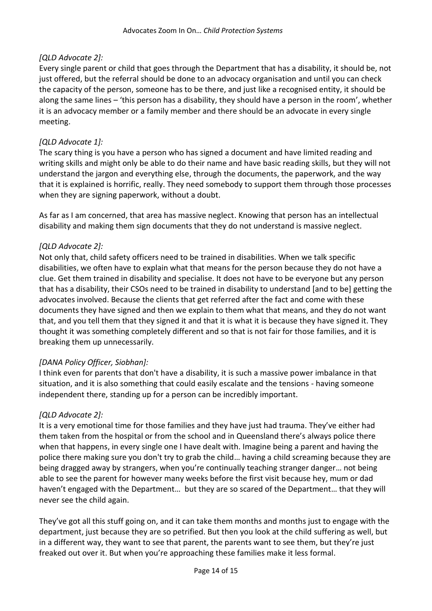# *[QLD Advocate 2]:*

Every single parent or child that goes through the Department that has a disability, it should be, not just offered, but the referral should be done to an advocacy organisation and until you can check the capacity of the person, someone has to be there, and just like a recognised entity, it should be along the same lines – 'this person has a disability, they should have a person in the room', whether it is an advocacy member or a family member and there should be an advocate in every single meeting.

## *[QLD Advocate 1]:*

The scary thing is you have a person who has signed a document and have limited reading and writing skills and might only be able to do their name and have basic reading skills, but they will not understand the jargon and everything else, through the documents, the paperwork, and the way that it is explained is horrific, really. They need somebody to support them through those processes when they are signing paperwork, without a doubt.

As far as I am concerned, that area has massive neglect. Knowing that person has an intellectual disability and making them sign documents that they do not understand is massive neglect.

## *[QLD Advocate 2]:*

Not only that, child safety officers need to be trained in disabilities. When we talk specific disabilities, we often have to explain what that means for the person because they do not have a clue. Get them trained in disability and specialise. It does not have to be everyone but any person that has a disability, their CSOs need to be trained in disability to understand [and to be] getting the advocates involved. Because the clients that get referred after the fact and come with these documents they have signed and then we explain to them what that means, and they do not want that, and you tell them that they signed it and that it is what it is because they have signed it. They thought it was something completely different and so that is not fair for those families, and it is breaking them up unnecessarily.

#### *[DANA Policy Officer, Siobhan]:*

I think even for parents that don't have a disability, it is such a massive power imbalance in that situation, and it is also something that could easily escalate and the tensions - having someone independent there, standing up for a person can be incredibly important.

# *[QLD Advocate 2]:*

It is a very emotional time for those families and they have just had trauma. They've either had them taken from the hospital or from the school and in Queensland there's always police there when that happens, in every single one I have dealt with. Imagine being a parent and having the police there making sure you don't try to grab the child… having a child screaming because they are being dragged away by strangers, when you're continually teaching stranger danger… not being able to see the parent for however many weeks before the first visit because hey, mum or dad haven't engaged with the Department… but they are so scared of the Department… that they will never see the child again.

They've got all this stuff going on, and it can take them months and months just to engage with the department, just because they are so petrified. But then you look at the child suffering as well, but in a different way, they want to see that parent, the parents want to see them, but they're just freaked out over it. But when you're approaching these families make it less formal.